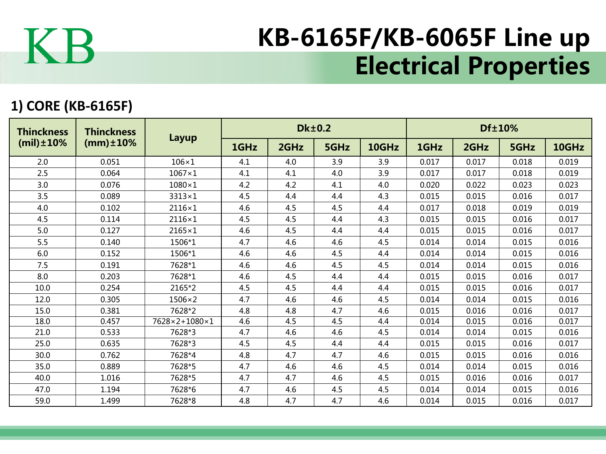

## KB-6165F/KB-6065F Line up Electrical Properties

## **1) CORE (KB-6165F)**

| <b>Thinckness</b><br>$(mil) \pm 10\%$ | <b>Thinckness</b><br>$(mm) \pm 10\%$ | Layup         |      |      | <b>Dk±0.2</b> |       | Df±10% |       |       |       |  |
|---------------------------------------|--------------------------------------|---------------|------|------|---------------|-------|--------|-------|-------|-------|--|
|                                       |                                      |               | 1GHz | 2GHz | 5GHz          | 10GHz | 1GHz   | 2GHz  | 5GHz  | 10GHz |  |
| 2.0                                   | 0.051                                | $106\times1$  | 4.1  | 4.0  | 3.9           | 3.9   | 0.017  | 0.017 | 0.018 | 0.019 |  |
| 2.5                                   | 0.064                                | $1067\times1$ | 4.1  | 4.1  | 4.0           | 3.9   | 0.017  | 0.017 | 0.018 | 0.019 |  |
| 3.0                                   | 0.076                                | $1080\times1$ | 4.2  | 4.2  | 4.1           | 4.0   | 0.020  | 0.022 | 0.023 | 0.023 |  |
| 3.5                                   | 0.089                                | $3313\times1$ | 4.5  | 4.4  | 4.4           | 4.3   | 0.015  | 0.015 | 0.016 | 0.017 |  |
| 4.0                                   | 0.102                                | $2116\times1$ | 4.6  | 4.5  | 4.5           | 4.4   | 0.017  | 0.018 | 0.019 | 0.019 |  |
| 4.5                                   | 0.114                                | $2116\times1$ | 4.5  | 4.5  | 4.4           | 4.3   | 0.015  | 0.015 | 0.016 | 0.017 |  |
| 5.0                                   | 0.127                                | $2165\times1$ | 4.6  | 4.5  | 4.4           | 4.4   | 0.015  | 0.015 | 0.016 | 0.017 |  |
| 5.5                                   | 0.140                                | 1506*1        | 4.7  | 4.6  | 4.6           | 4.5   | 0.014  | 0.014 | 0.015 | 0.016 |  |
| 6.0                                   | 0.152                                | 1506*1        | 4.6  | 4.6  | 4.5           | 4.4   | 0.014  | 0.014 | 0.015 | 0.016 |  |
| 7.5                                   | 0.191                                | 7628*1        | 4.6  | 4.6  | 4.5           | 4.5   | 0.014  | 0.014 | 0.015 | 0.016 |  |
| 8.0                                   | 0.203                                | 7628*1        | 4.6  | 4.5  | 4.4           | 4.4   | 0.015  | 0.015 | 0.016 | 0.017 |  |
| 10.0                                  | 0.254                                | 2165*2        | 4.5  | 4.5  | 4.4           | 4.4   | 0.015  | 0.015 | 0.016 | 0.017 |  |
| 12.0                                  | 0.305                                | $1506\times2$ | 4.7  | 4.6  | 4.6           | 4.5   | 0.014  | 0.014 | 0.015 | 0.016 |  |
| 15.0                                  | 0.381                                | 7628*2        | 4.8  | 4.8  | 4.7           | 4.6   | 0.015  | 0.016 | 0.016 | 0.017 |  |
| 18.0                                  | 0.457                                | 7628×2+1080×1 | 4.6  | 4.5  | 4.5           | 4.4   | 0.014  | 0.015 | 0.016 | 0.017 |  |
| 21.0                                  | 0.533                                | 7628*3        | 4.7  | 4.6  | 4.6           | 4.5   | 0.014  | 0.014 | 0.015 | 0.016 |  |
| 25.0                                  | 0.635                                | 7628*3        | 4.5  | 4.5  | 4.4           | 4.4   | 0.015  | 0.015 | 0.016 | 0.017 |  |
| 30.0                                  | 0.762                                | 7628*4        | 4.8  | 4.7  | 4.7           | 4.6   | 0.015  | 0.015 | 0.016 | 0.016 |  |
| 35.0                                  | 0.889                                | 7628*5        | 4.7  | 4.6  | 4.6           | 4.5   | 0.014  | 0.014 | 0.015 | 0.016 |  |
| 40.0                                  | 1.016                                | 7628*5        | 4.7  | 4.7  | 4.6           | 4.5   | 0.015  | 0.016 | 0.016 | 0.017 |  |
| 47.0                                  | 1.194                                | 7628*6        | 4.7  | 4.6  | 4.5           | 4.5   | 0.014  | 0.014 | 0.015 | 0.016 |  |
| 59.0                                  | 1.499                                | 7628*8        | 4.8  | 4.7  | 4.7           | 4.6   | 0.014  | 0.015 | 0.016 | 0.017 |  |